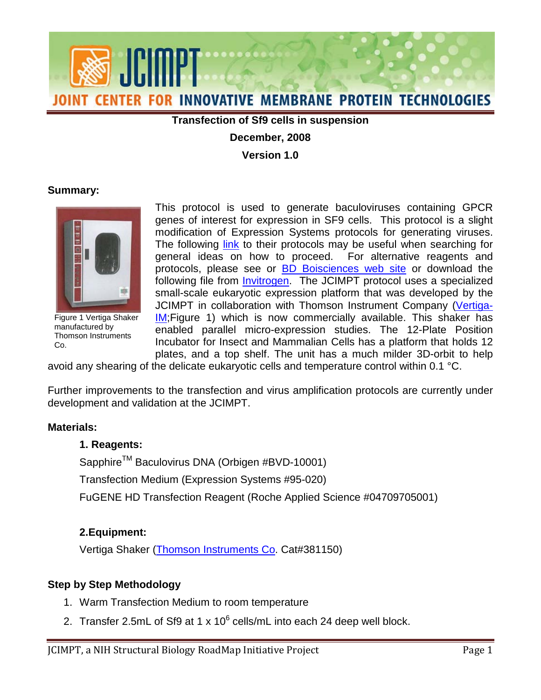

#### **Transfection of Sf9 cells in suspension**

#### **December, 2008**

**Version 1.0**

#### **Summary:**



Figure 1 Vertiga Shaker manufactured by Thomson Instruments Co.

modification of Expression Systems protocols for generating viruses. general ideas on how to proceed. For alternative reagents and following file from <u>Invitrogen</u>. The JCIMPT protocol uses a specialized plates, and a top shelf. The unit has a much milder 3D-orbit to help This protocol is used to generate baculoviruses containing GPCR genes of interest for expression in SF9 cells. This protocol is a slight The following [link](http://www.expressionsystems.com/documents/High%20Titer%20Stock.pdf) to their protocols may be useful when searching for protocols, please see or [BD Boisciences web site](http://www.bdbiosciences.com/features/products/display_product.php?keyID=72#Linear) or download the small-scale eukaryotic expression platform that was developed by the JCIMPT in collaboration with Thomson Instrument Company [\(Vertiga-](http://www.htslabs.com/HTML/CellCulture/insect_and_mammalian_instruments.htm)[IM](http://www.htslabs.com/HTML/CellCulture/insect_and_mammalian_instruments.htm)[;Figure 1\)](#page-0-0) which is now commercially available. This shaker has enabled parallel micro-expression studies. The 12-Plate Position Incubator for Insect and Mammalian Cells has a platform that holds 12

<span id="page-0-0"></span>avoid any shearing of the delicate eukaryotic cells and temperature control within 0.1 °C.

 development and validation at the JCIMPT. Further improvements to the transfection and virus amplification protocols are currently under

#### **Materials:**

## **1. Reagents:**

Sapphire™ Baculovirus DNA (Orbigen #BVD-10001)

Transfection Medium (Expression Systems #95-020)

FuGENE HD Transfection Reagent (Roche Applied Science #04709705001)

## **2.Equipment:**

Vertiga Shaker [\(Thomson Instruments Co.](http://www.htslabs.com/HTML/CellCulture/insect_and_mammalian_instruments.htm) Cat#381150)

## **Step by Step Methodology**

- 1. Warm Transfection Medium to room temperature
- 2. Transfer 2.5mL of Sf9 at 1 x 10 $^6$  cells/mL into each 24 deep well block.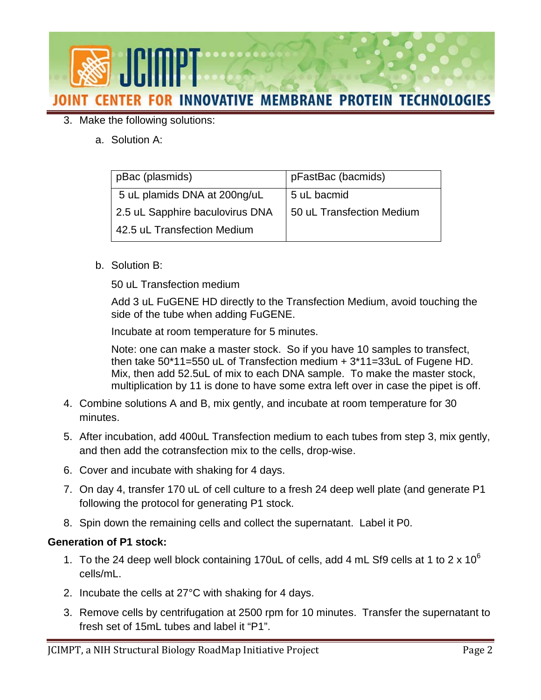

# 3. Make the following solutions:

a. Solution A:

| pBac (plasmids)                 | pFastBac (bacmids)        |
|---------------------------------|---------------------------|
| 5 uL plamids DNA at 200ng/uL    | 5 uL bacmid               |
| 2.5 uL Sapphire baculovirus DNA | 50 uL Transfection Medium |
| 42.5 uL Transfection Medium     |                           |

b. Solution B:

50 uL Transfection medium

Add 3 uL FuGENE HD directly to the Transfection Medium, avoid touching the side of the tube when adding FuGENE.

Incubate at room temperature for 5 minutes.

then take  $50*11=550$  uL of Transfection medium  $+3*11=33$ uL of Fugene HD. then take 50\*11=550 uL of Transfection medium + 3\*11=33uL of Fugene HD.<br>Mix, then add 52.5uL of mix to each DNA sample. To make the master stock, Note: one can make a master stock. So if you have 10 samples to transfect, multiplication by 11 is done to have some extra left over in case the pipet is off.

- 4. Combine solutions A and B, mix gently, and incubate at room temperature for 30 minutes.
- 5. After incubation, add 400uL Transfection medium to each tubes from step 3, mix gently, and then add the cotransfection mix to the cells, drop-wise.
- 6. Cover and incubate with shaking for 4 days.
- following the protocol for generating P1 stock. 7. On day 4, transfer 170 uL of cell culture to a fresh 24 deep well plate (and generate P1
- following the protocol for generating P1 stock. 8. Spin down the remaining cells and collect the supernatant. Label it P0.

## **Generation of P1 stock:**

- 1. To the 24 deep well block containing 170uL of cells, add 4 mL Sf9 cells at 1 to 2 x  $10^6$ cells/mL.
- 2. Incubate the cells at 27°C with shaking for 4 days.
- 3. Remove cells by centrifugation at 2500 rpm for 10 minutes. Transfer the supernatant to fresh set of 15mL tubes and label it "P1".